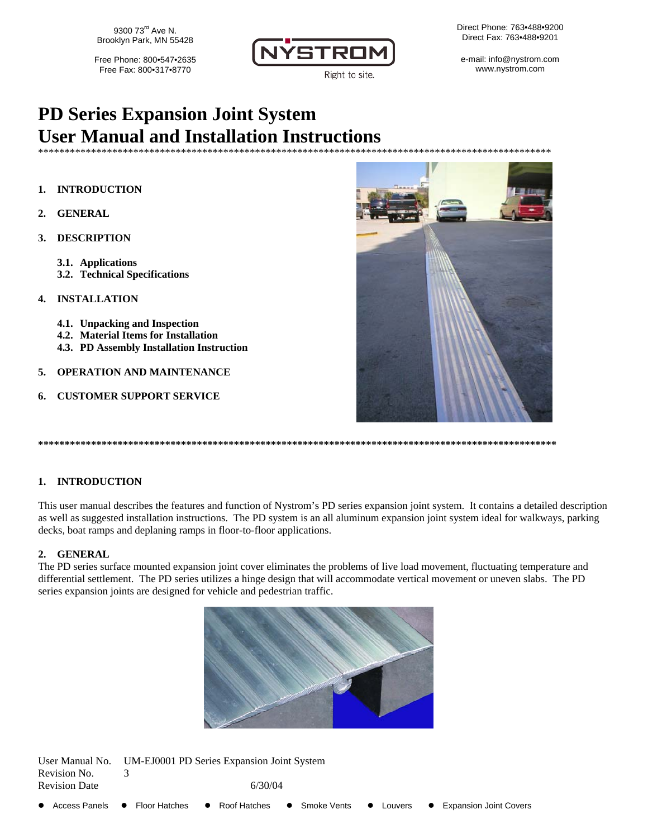9300 73<sup>rd</sup> Ave N. Brooklyn Park, MN 55428

Free Phone: 800•547•2635 Free Fax: 800.317.8770



Direct Phone: 763.488.9200 Direct Fax: 763.488.9201

e-mail: info@nystrom.com www.nystrom.com

# **PD Series Expansion Joint System User Manual and Installation Instructions**

\*\*\*\*\*\*\*\*\*\*\*\*\*\*\*\*\*\*\*\*\*\*\*\*\*\*\*\*\*\*\*\*\*\*\*

#### 1. **INTRODUCTION**

- **GENERAL**  $\mathfrak{D}$
- 3. **DESCRIPTION** 
	- 3.1. Applications
	- 3.2. Technical Specifications
- **INSTALLATION**  $\mathbf{4}$ 
	- 4.1. Unpacking and Inspection
	- 4.2. Material Items for Installation
	- 4.3. PD Assembly Installation Instruction

 $TM$  EI0001 DD  $S$ -

- **OPERATION AND MAINTENANCE** 5.
- **CUSTOMER SUPPORT SERVICE** 6.



#### 1. INTRODUCTION

This user manual describes the features and function of Nystrom's PD series expansion joint system. It contains a detailed description as well as suggested installation instructions. The PD system is an all aluminum expansion joint system ideal for walkways, parking decks, boat ramps and deplaning ramps in floor-to-floor applications.

#### 2. GENERAL

The PD series surface mounted expansion joint cover eliminates the problems of live load movement, fluctuating temperature and differential settlement. The PD series utilizes a hinge design that will accommodate vertical movement or uneven slabs. The PD series expansion joints are designed for vehicle and pedestrian traffic.



| Revision No.<br><b>Revision Date</b> |                            | 6/30/04                       |                      |                               |
|--------------------------------------|----------------------------|-------------------------------|----------------------|-------------------------------|
| ● Access Panels                      | Floor Hatches<br>$\bullet$ | • Smoke Vents<br>Roof Hatches | $\bullet$<br>Louvers | <b>Expansion Joint Covers</b> |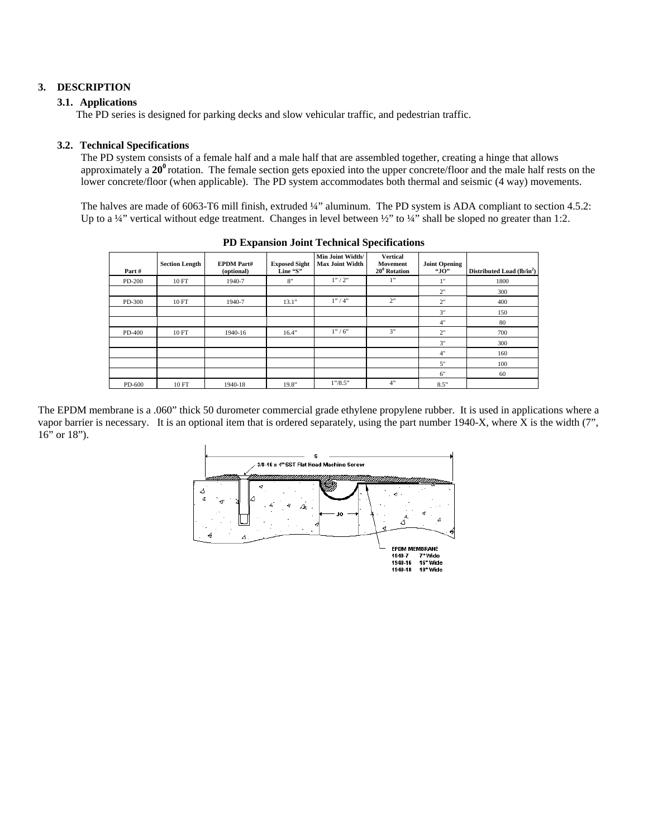## **3. DESCRIPTION**

#### **3.1. Applications**

The PD series is designed for parking decks and slow vehicular traffic, and pedestrian traffic.

### **3.2. Technical Specifications**

The PD system consists of a female half and a male half that are assembled together, creating a hinge that allows approximately a **20<sup>0</sup>**rotation. The female section gets epoxied into the upper concrete/floor and the male half rests on the lower concrete/floor (when applicable). The PD system accommodates both thermal and seismic (4 way) movements.

The halves are made of 6063-T6 mill finish, extruded ¼" aluminum. The PD system is ADA compliant to section 4.5.2: Up to a ¼" vertical without edge treatment. Changes in level between ½" to ¼" shall be sloped no greater than 1:2.

|        |                       | д.                              |                                  | д.                                         |                                                |                             |                                        |  |
|--------|-----------------------|---------------------------------|----------------------------------|--------------------------------------------|------------------------------------------------|-----------------------------|----------------------------------------|--|
| Part#  | <b>Section Length</b> | <b>EPDM</b> Part#<br>(optional) | <b>Exposed Sight</b><br>Line "S" | Min Joint Width/<br><b>Max Joint Width</b> | <b>Vertical</b><br>Movement<br>$20^0$ Rotation | <b>Joint Opening</b><br>"Ю" | Distributed Load (lb/in <sup>2</sup> ) |  |
| PD-200 | 10 FT                 | 1940-7                          | 8"                               | 1''/2''                                    | 1"                                             | 1"                          | 1800                                   |  |
|        |                       |                                 |                                  |                                            |                                                | 2"                          | 300                                    |  |
| PD-300 | 10 FT                 | 1940-7                          | 13.1"                            | 1''/4"                                     | 2"                                             | 2"                          | 400                                    |  |
|        |                       |                                 |                                  |                                            |                                                | 3"                          | 150                                    |  |
|        |                       |                                 |                                  |                                            |                                                | 4"                          | 80                                     |  |
| PD-400 | 10 FT                 | 1940-16                         | 16.4"                            | 1''/6''                                    | 3"                                             | 2"                          | 700                                    |  |
|        |                       |                                 |                                  |                                            |                                                | 3"                          | 300                                    |  |
|        |                       |                                 |                                  |                                            |                                                | 4"                          | 160                                    |  |
|        |                       |                                 |                                  |                                            |                                                | 5"                          | 100                                    |  |
|        |                       |                                 |                                  |                                            |                                                | 6"                          | 60                                     |  |
| PD-600 | 10 FT                 | 1940-18                         | 19.8"                            | 1''/8.5''                                  | 4"                                             | 8.5"                        |                                        |  |

**PD Expansion Joint Technical Specifications** 

The EPDM membrane is a .060" thick 50 durometer commercial grade ethylene propylene rubber. It is used in applications where a vapor barrier is necessary. It is an optional item that is ordered separately, using the part number 1940-X, where X is the width (7", 16" or 18").

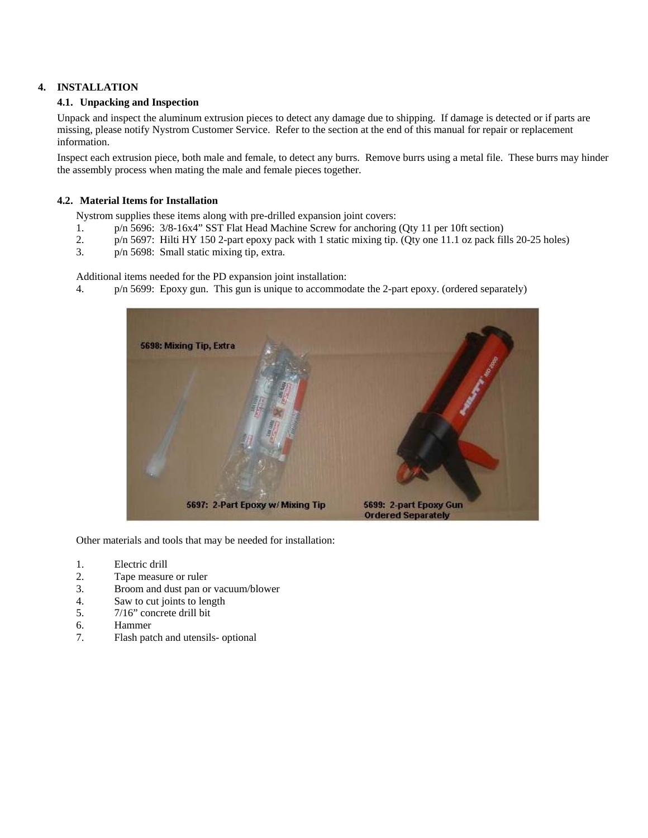# **4. INSTALLATION**

#### **4.1. Unpacking and Inspection**

Unpack and inspect the aluminum extrusion pieces to detect any damage due to shipping. If damage is detected or if parts are missing, please notify Nystrom Customer Service. Refer to the section at the end of this manual for repair or replacement information.

Inspect each extrusion piece, both male and female, to detect any burrs. Remove burrs using a metal file. These burrs may hinder the assembly process when mating the male and female pieces together.

#### **4.2. Material Items for Installation**

Nystrom supplies these items along with pre-drilled expansion joint covers:

- 1. p/n 5696: 3/8-16x4" SST Flat Head Machine Screw for anchoring (Qty 11 per 10ft section)
- 2. p/n 5697: Hilti HY 150 2-part epoxy pack with 1 static mixing tip. (Qty one 11.1 oz pack fills 20-25 holes)
- 3. p/n 5698: Small static mixing tip, extra.

Additional items needed for the PD expansion joint installation:

4. p/n 5699: Epoxy gun. This gun is unique to accommodate the 2-part epoxy. (ordered separately)



Other materials and tools that may be needed for installation:

- 1. Electric drill
- 2. Tape measure or ruler
- 3. Broom and dust pan or vacuum/blower
- 4. Saw to cut joints to length
- 5. 7/16" concrete drill bit
- 6. Hammer
- 7. Flash patch and utensils- optional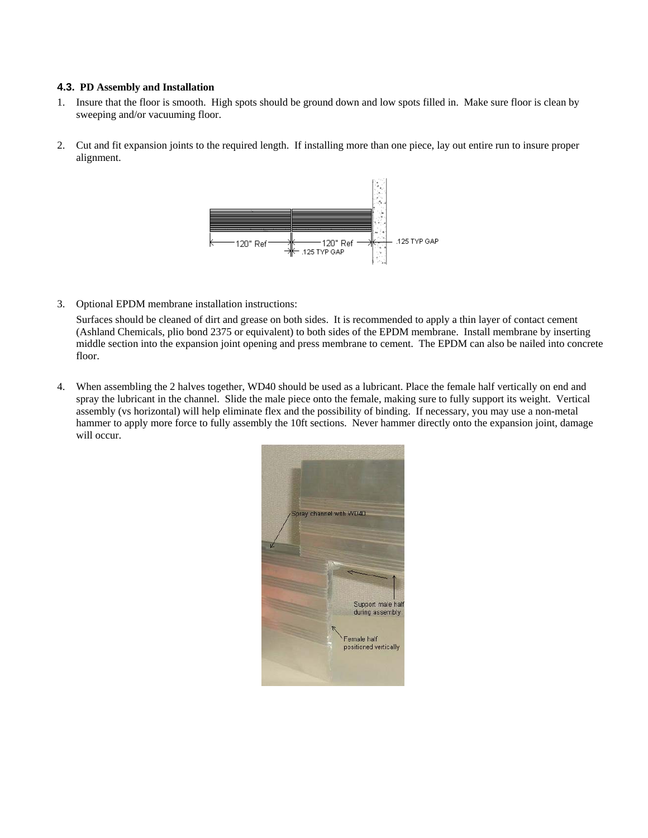#### **4.3. PD Assembly and Installation**

- 1. Insure that the floor is smooth. High spots should be ground down and low spots filled in. Make sure floor is clean by sweeping and/or vacuuming floor.
- 2. Cut and fit expansion joints to the required length. If installing more than one piece, lay out entire run to insure proper alignment.



3. Optional EPDM membrane installation instructions:

Surfaces should be cleaned of dirt and grease on both sides. It is recommended to apply a thin layer of contact cement (Ashland Chemicals, plio bond 2375 or equivalent) to both sides of the EPDM membrane. Install membrane by inserting middle section into the expansion joint opening and press membrane to cement. The EPDM can also be nailed into concrete floor.

4. When assembling the 2 halves together, WD40 should be used as a lubricant. Place the female half vertically on end and spray the lubricant in the channel. Slide the male piece onto the female, making sure to fully support its weight. Vertical assembly (vs horizontal) will help eliminate flex and the possibility of binding. If necessary, you may use a non-metal hammer to apply more force to fully assembly the 10ft sections. Never hammer directly onto the expansion joint, damage will occur.

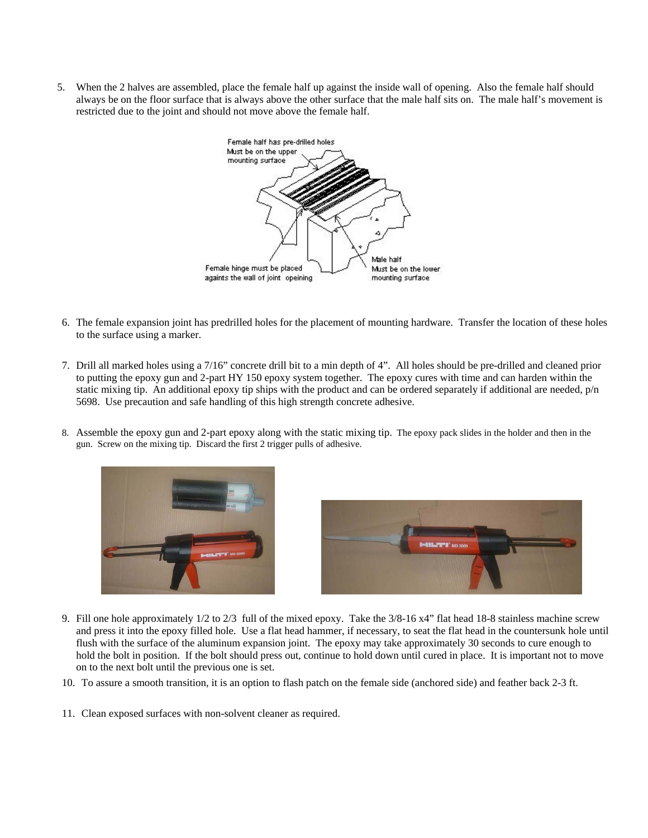5. When the 2 halves are assembled, place the female half up against the inside wall of opening. Also the female half should always be on the floor surface that is always above the other surface that the male half sits on. The male half's movement is restricted due to the joint and should not move above the female half.



- 6. The female expansion joint has predrilled holes for the placement of mounting hardware. Transfer the location of these holes to the surface using a marker.
- 7. Drill all marked holes using a 7/16" concrete drill bit to a min depth of 4". All holes should be pre-drilled and cleaned prior to putting the epoxy gun and 2-part HY 150 epoxy system together. The epoxy cures with time and can harden within the static mixing tip. An additional epoxy tip ships with the product and can be ordered separately if additional are needed, p/n 5698. Use precaution and safe handling of this high strength concrete adhesive.
- 8. Assemble the epoxy gun and 2-part epoxy along with the static mixing tip. The epoxy pack slides in the holder and then in the gun. Screw on the mixing tip. Discard the first 2 trigger pulls of adhesive.





- 9. Fill one hole approximately 1/2 to 2/3 full of the mixed epoxy. Take the 3/8-16 x4" flat head 18-8 stainless machine screw and press it into the epoxy filled hole. Use a flat head hammer, if necessary, to seat the flat head in the countersunk hole until flush with the surface of the aluminum expansion joint. The epoxy may take approximately 30 seconds to cure enough to hold the bolt in position. If the bolt should press out, continue to hold down until cured in place. It is important not to move on to the next bolt until the previous one is set.
- 10. To assure a smooth transition, it is an option to flash patch on the female side (anchored side) and feather back 2-3 ft.
- 11. Clean exposed surfaces with non-solvent cleaner as required.